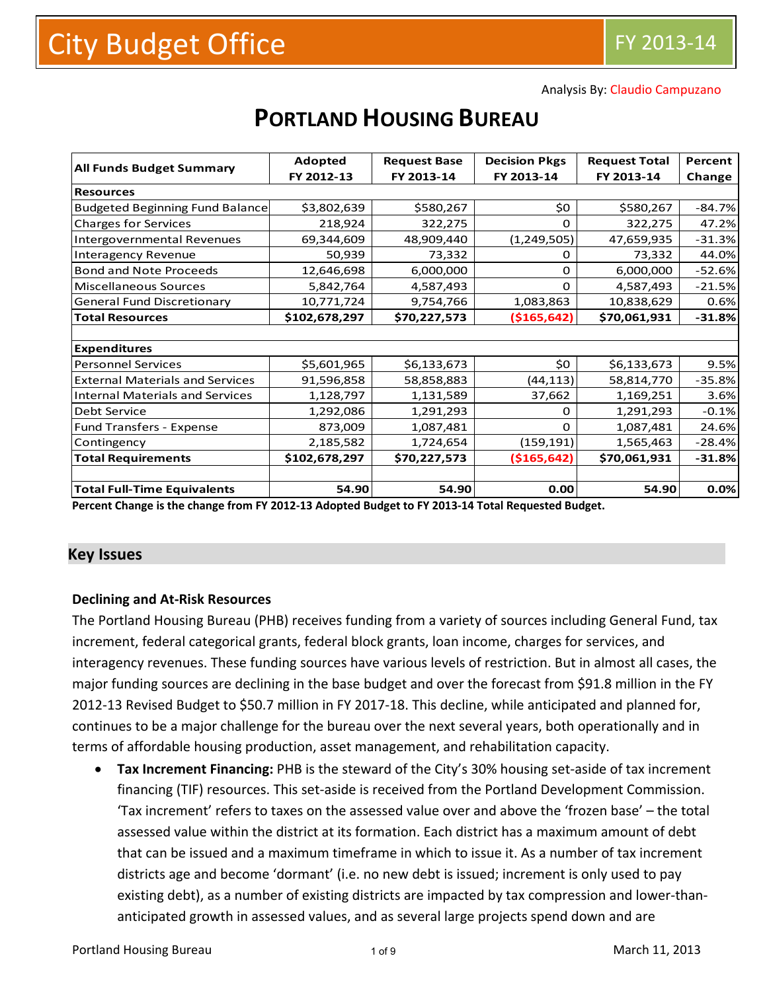#### Analysis By: Claudio Campuzano

|                                        | Adopted       | <b>Request Base</b> | <b>Decision Pkgs</b> | <b>Request Total</b> | Percent  |  |  |  |
|----------------------------------------|---------------|---------------------|----------------------|----------------------|----------|--|--|--|
| <b>All Funds Budget Summary</b>        | FY 2012-13    | FY 2013-14          | FY 2013-14           | FY 2013-14           | Change   |  |  |  |
| <b>Resources</b>                       |               |                     |                      |                      |          |  |  |  |
| <b>Budgeted Beginning Fund Balance</b> | \$3,802,639   | \$580,267           | \$0                  | \$580,267            | $-84.7%$ |  |  |  |
| <b>Charges for Services</b>            | 218,924       | 322,275             | $\Omega$             | 322,275              | 47.2%    |  |  |  |
| Intergovernmental Revenues             | 69,344,609    | 48,909,440          | (1, 249, 505)        | 47,659,935           | $-31.3%$ |  |  |  |
| <b>Interagency Revenue</b>             | 50,939        | 73,332              | $\Omega$             | 73,332               | 44.0%    |  |  |  |
| <b>Bond and Note Proceeds</b>          | 12,646,698    | 6,000,000           | 0                    | 6,000,000            | $-52.6%$ |  |  |  |
| <b>Miscellaneous Sources</b>           | 5,842,764     | 4,587,493           | 0                    | 4,587,493            | $-21.5%$ |  |  |  |
| <b>General Fund Discretionary</b>      | 10,771,724    | 9,754,766           | 1,083,863            | 10,838,629           | 0.6%     |  |  |  |
| <b>Total Resources</b>                 | \$102,678,297 | \$70,227,573        | ( \$165, 642)        | \$70,061,931         | $-31.8%$ |  |  |  |
|                                        |               |                     |                      |                      |          |  |  |  |
| <b>Expenditures</b>                    |               |                     |                      |                      |          |  |  |  |
| <b>Personnel Services</b>              | \$5,601,965   | \$6,133,673         | \$0                  | \$6,133,673          | 9.5%     |  |  |  |
| <b>External Materials and Services</b> | 91,596,858    | 58,858,883          | (44, 113)            | 58,814,770           | $-35.8%$ |  |  |  |
| <b>Internal Materials and Services</b> | 1,128,797     | 1,131,589           | 37,662               | 1,169,251            | 3.6%     |  |  |  |
| Debt Service                           | 1,292,086     | 1,291,293           | 0                    | 1,291,293            | $-0.1%$  |  |  |  |
| Fund Transfers - Expense               | 873,009       | 1,087,481           | 0                    | 1,087,481            | 24.6%    |  |  |  |
| Contingency                            | 2,185,582     | 1,724,654           | (159, 191)           | 1,565,463            | $-28.4%$ |  |  |  |
| <b>Total Requirements</b>              | \$102,678,297 | \$70,227,573        | ( \$165, 642)        | \$70,061,931         | $-31.8%$ |  |  |  |
|                                        |               |                     |                      |                      |          |  |  |  |
| <b>Total Full-Time Equivalents</b>     | 54.90         | 54.90               | 0.00                 | 54.90                | 0.0%     |  |  |  |

# **PORTLAND HOUSING BUREAU**

Percent Change is the change from FY 2012-13 Adopted Budget to FY 2013-14 Total Requested Budget.

### **Key Issues**

#### **Declining and At‐Risk Resources**

The Portland Housing Bureau (PHB) receives funding from a variety of sources including General Fund, tax increment, federal categorical grants, federal block grants, loan income, charges for services, and interagency revenues. These funding sources have various levels of restriction. But in almost all cases, the major funding sources are declining in the base budget and over the forecast from \$91.8 million in the FY 2012‐13 Revised Budget to \$50.7 million in FY 2017‐18. This decline, while anticipated and planned for, continues to be a major challenge for the bureau over the next several years, both operationally and in terms of affordable housing production, asset management, and rehabilitation capacity.

 **Tax Increment Financing:** PHB is the steward of the City's 30% housing set‐aside of tax increment financing (TIF) resources. This set-aside is received from the Portland Development Commission. 'Tax increment' refers to taxes on the assessed value over and above the 'frozen base' – the total assessed value within the district at its formation. Each district has a maximum amount of debt that can be issued and a maximum timeframe in which to issue it. As a number of tax increment districts age and become 'dormant' (i.e. no new debt is issued; increment is only used to pay existing debt), as a number of existing districts are impacted by tax compression and lower‐than‐ anticipated growth in assessed values, and as several large projects spend down and are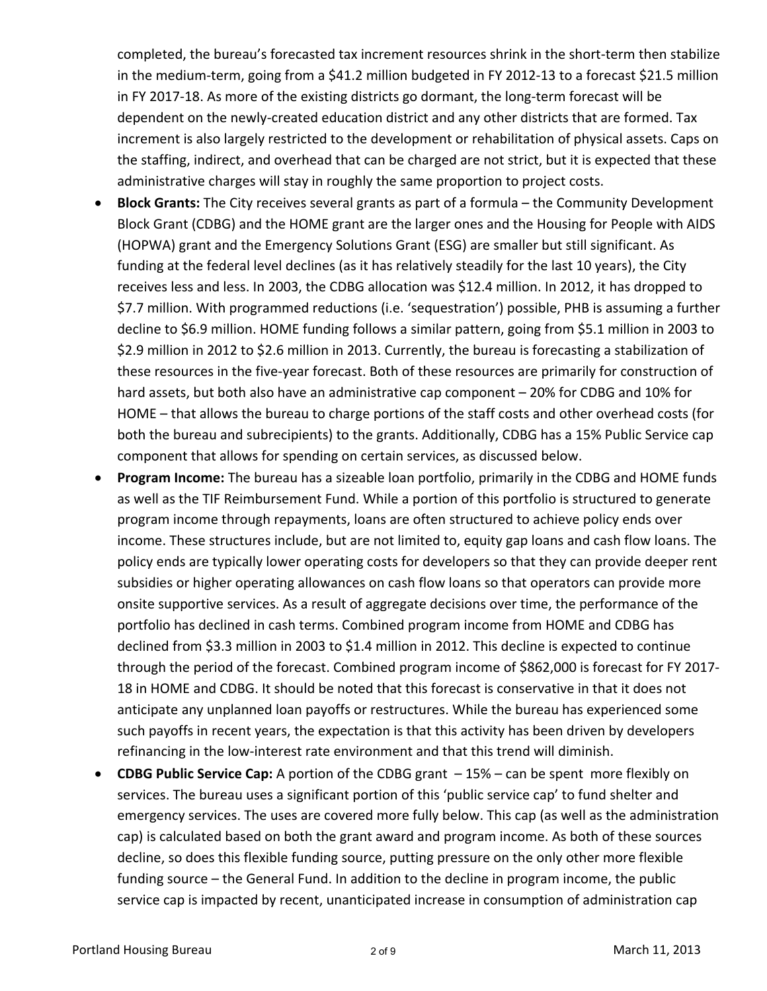completed, the bureau's forecasted tax increment resources shrink in the short‐term then stabilize in the medium‐term, going from a \$41.2 million budgeted in FY 2012‐13 to a forecast \$21.5 million in FY 2017‐18. As more of the existing districts go dormant, the long‐term forecast will be dependent on the newly-created education district and any other districts that are formed. Tax increment is also largely restricted to the development or rehabilitation of physical assets. Caps on the staffing, indirect, and overhead that can be charged are not strict, but it is expected that these administrative charges will stay in roughly the same proportion to project costs.

- **Block Grants:** The City receives several grants as part of a formula the Community Development Block Grant (CDBG) and the HOME grant are the larger ones and the Housing for People with AIDS (HOPWA) grant and the Emergency Solutions Grant (ESG) are smaller but still significant. As funding at the federal level declines (as it has relatively steadily for the last 10 years), the City receives less and less. In 2003, the CDBG allocation was \$12.4 million. In 2012, it has dropped to \$7.7 million. With programmed reductions (i.e. 'sequestration') possible, PHB is assuming a further decline to \$6.9 million. HOME funding follows a similar pattern, going from \$5.1 million in 2003 to \$2.9 million in 2012 to \$2.6 million in 2013. Currently, the bureau is forecasting a stabilization of these resources in the five‐year forecast. Both of these resources are primarily for construction of hard assets, but both also have an administrative cap component – 20% for CDBG and 10% for HOME – that allows the bureau to charge portions of the staff costs and other overhead costs (for both the bureau and subrecipients) to the grants. Additionally, CDBG has a 15% Public Service cap component that allows for spending on certain services, as discussed below.
- **Program Income:** The bureau has a sizeable loan portfolio, primarily in the CDBG and HOME funds as well as the TIF Reimbursement Fund. While a portion of this portfolio is structured to generate program income through repayments, loans are often structured to achieve policy ends over income. These structures include, but are not limited to, equity gap loans and cash flow loans. The policy ends are typically lower operating costs for developers so that they can provide deeper rent subsidies or higher operating allowances on cash flow loans so that operators can provide more onsite supportive services. As a result of aggregate decisions over time, the performance of the portfolio has declined in cash terms. Combined program income from HOME and CDBG has declined from \$3.3 million in 2003 to \$1.4 million in 2012. This decline is expected to continue through the period of the forecast. Combined program income of \$862,000 is forecast for FY 2017‐ 18 in HOME and CDBG. It should be noted that this forecast is conservative in that it does not anticipate any unplanned loan payoffs or restructures. While the bureau has experienced some such payoffs in recent years, the expectation is that this activity has been driven by developers refinancing in the low‐interest rate environment and that this trend will diminish.
- **CDBG Public Service Cap:** A portion of the CDBG grant 15% can be spent more flexibly on services. The bureau uses a significant portion of this 'public service cap' to fund shelter and emergency services. The uses are covered more fully below. This cap (as well as the administration cap) is calculated based on both the grant award and program income. As both of these sources decline, so does this flexible funding source, putting pressure on the only other more flexible funding source – the General Fund. In addition to the decline in program income, the public service cap is impacted by recent, unanticipated increase in consumption of administration cap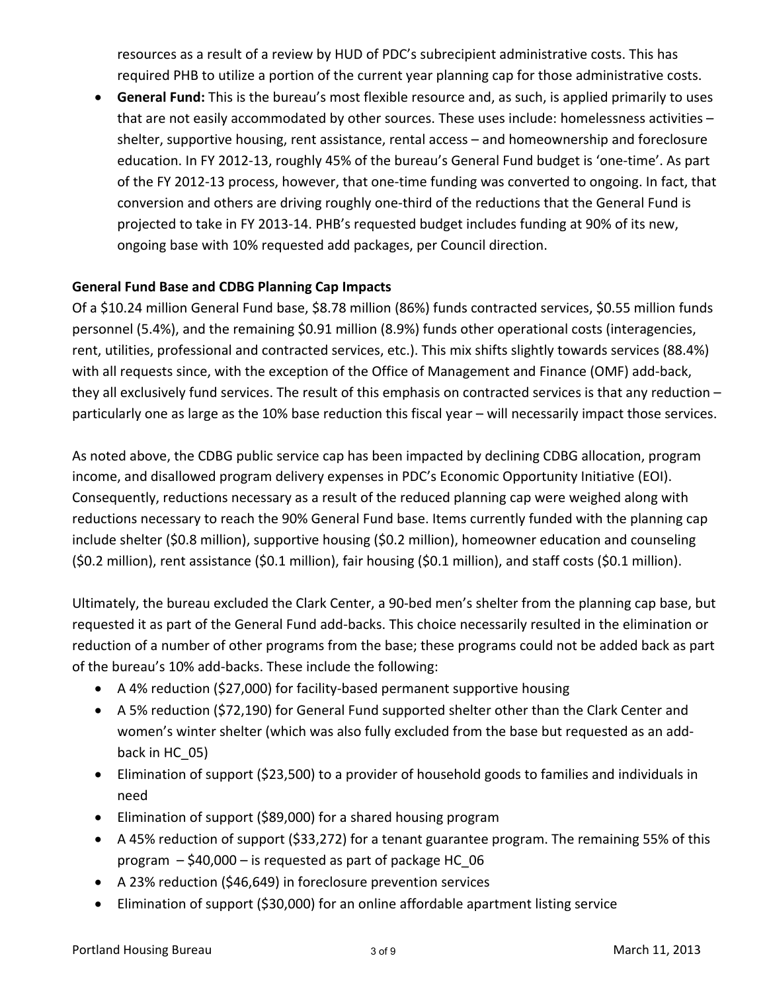resources as a result of a review by HUD of PDC's subrecipient administrative costs. This has required PHB to utilize a portion of the current year planning cap for those administrative costs.

 **General Fund:** This is the bureau's most flexible resource and, as such, is applied primarily to uses that are not easily accommodated by other sources. These uses include: homelessness activities – shelter, supportive housing, rent assistance, rental access – and homeownership and foreclosure education. In FY 2012‐13, roughly 45% of the bureau's General Fund budget is 'one‐time'. As part of the FY 2012‐13 process, however, that one‐time funding was converted to ongoing. In fact, that conversion and others are driving roughly one‐third of the reductions that the General Fund is projected to take in FY 2013‐14. PHB's requested budget includes funding at 90% of its new, ongoing base with 10% requested add packages, per Council direction.

#### **General Fund Base and CDBG Planning Cap Impacts**

Of a \$10.24 million General Fund base, \$8.78 million (86%) funds contracted services, \$0.55 million funds personnel (5.4%), and the remaining \$0.91 million (8.9%) funds other operational costs (interagencies, rent, utilities, professional and contracted services, etc.). This mix shifts slightly towards services (88.4%) with all requests since, with the exception of the Office of Management and Finance (OMF) add‐back, they all exclusively fund services. The result of this emphasis on contracted services is that any reduction – particularly one as large as the 10% base reduction this fiscal year – will necessarily impact those services.

As noted above, the CDBG public service cap has been impacted by declining CDBG allocation, program income, and disallowed program delivery expenses in PDC's Economic Opportunity Initiative (EOI). Consequently, reductions necessary as a result of the reduced planning cap were weighed along with reductions necessary to reach the 90% General Fund base. Items currently funded with the planning cap include shelter (\$0.8 million), supportive housing (\$0.2 million), homeowner education and counseling (\$0.2 million), rent assistance (\$0.1 million), fair housing (\$0.1 million), and staff costs (\$0.1 million).

Ultimately, the bureau excluded the Clark Center, a 90‐bed men's shelter from the planning cap base, but requested it as part of the General Fund add‐backs. This choice necessarily resulted in the elimination or reduction of a number of other programs from the base; these programs could not be added back as part of the bureau's 10% add‐backs. These include the following:

- A 4% reduction (\$27,000) for facility‐based permanent supportive housing
- A 5% reduction (\$72,190) for General Fund supported shelter other than the Clark Center and women's winter shelter (which was also fully excluded from the base but requested as an add‐ back in HC\_05)
- Elimination of support (\$23,500) to a provider of household goods to families and individuals in need
- Elimination of support (\$89,000) for a shared housing program
- A 45% reduction of support (\$33,272) for a tenant guarantee program. The remaining 55% of this program  $-$  \$40,000 – is requested as part of package HC 06
- A 23% reduction (\$46,649) in foreclosure prevention services
- Elimination of support (\$30,000) for an online affordable apartment listing service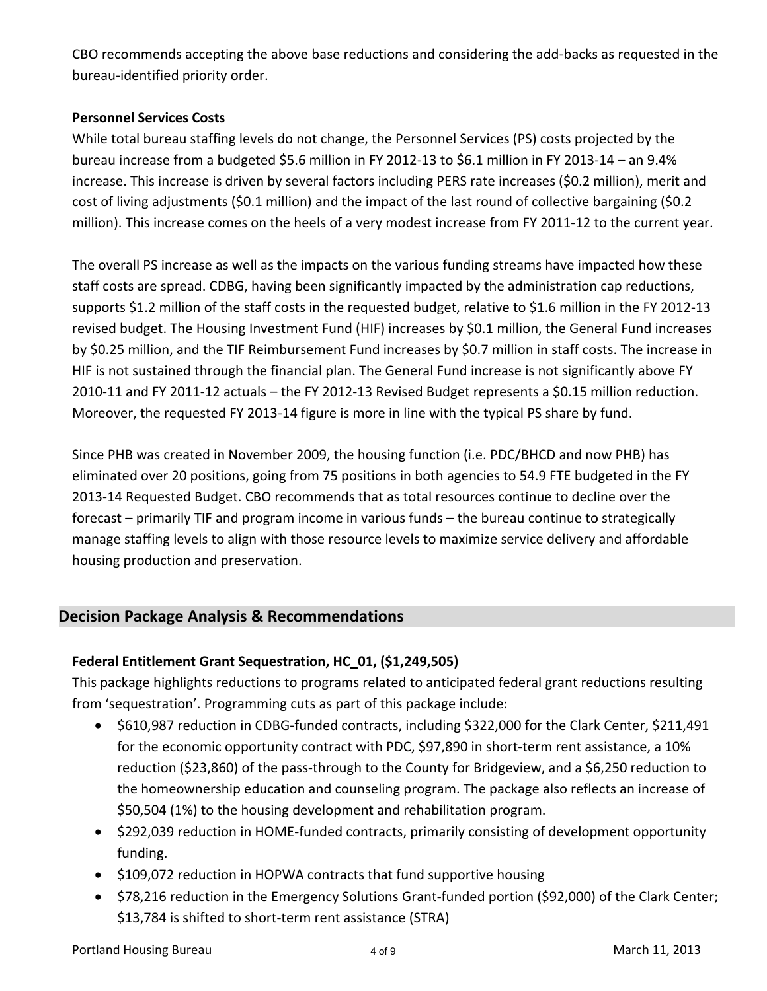CBO recommends accepting the above base reductions and considering the add‐backs as requested in the bureau‐identified priority order.

#### **Personnel Services Costs**

While total bureau staffing levels do not change, the Personnel Services (PS) costs projected by the bureau increase from a budgeted \$5.6 million in FY 2012‐13 to \$6.1 million in FY 2013‐14 – an 9.4% increase. This increase is driven by several factors including PERS rate increases (\$0.2 million), merit and cost of living adjustments (\$0.1 million) and the impact of the last round of collective bargaining (\$0.2 million). This increase comes on the heels of a very modest increase from FY 2011‐12 to the current year.

The overall PS increase as well as the impacts on the various funding streams have impacted how these staff costs are spread. CDBG, having been significantly impacted by the administration cap reductions, supports \$1.2 million of the staff costs in the requested budget, relative to \$1.6 million in the FY 2012‐13 revised budget. The Housing Investment Fund (HIF) increases by \$0.1 million, the General Fund increases by \$0.25 million, and the TIF Reimbursement Fund increases by \$0.7 million in staff costs. The increase in HIF is not sustained through the financial plan. The General Fund increase is not significantly above FY 2010‐11 and FY 2011‐12 actuals – the FY 2012‐13 Revised Budget represents a \$0.15 million reduction. Moreover, the requested FY 2013‐14 figure is more in line with the typical PS share by fund.

Since PHB was created in November 2009, the housing function (i.e. PDC/BHCD and now PHB) has eliminated over 20 positions, going from 75 positions in both agencies to 54.9 FTE budgeted in the FY 2013‐14 Requested Budget. CBO recommends that as total resources continue to decline over the forecast – primarily TIF and program income in various funds – the bureau continue to strategically manage staffing levels to align with those resource levels to maximize service delivery and affordable housing production and preservation.

### **Decision Package Analysis & Recommendations**

### **Federal Entitlement Grant Sequestration, HC\_01, (\$1,249,505)**

This package highlights reductions to programs related to anticipated federal grant reductions resulting from 'sequestration'. Programming cuts as part of this package include:

- \$610,987 reduction in CDBG-funded contracts, including \$322,000 for the Clark Center, \$211,491 for the economic opportunity contract with PDC, \$97,890 in short-term rent assistance, a 10% reduction (\$23,860) of the pass-through to the County for Bridgeview, and a \$6,250 reduction to the homeownership education and counseling program. The package also reflects an increase of \$50,504 (1%) to the housing development and rehabilitation program.
- \$292,039 reduction in HOME-funded contracts, primarily consisting of development opportunity funding.
- \$109,072 reduction in HOPWA contracts that fund supportive housing
- \$78,216 reduction in the Emergency Solutions Grant-funded portion (\$92,000) of the Clark Center; \$13,784 is shifted to short-term rent assistance (STRA)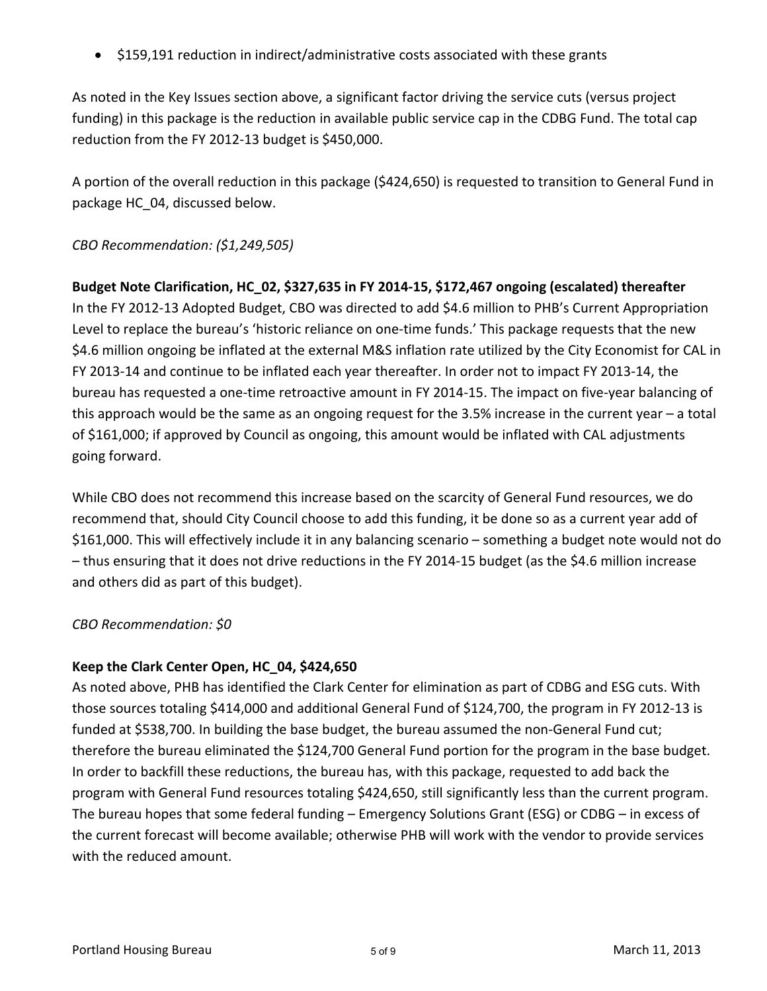• \$159,191 reduction in indirect/administrative costs associated with these grants

As noted in the Key Issues section above, a significant factor driving the service cuts (versus project funding) in this package is the reduction in available public service cap in the CDBG Fund. The total cap reduction from the FY 2012‐13 budget is \$450,000.

A portion of the overall reduction in this package (\$424,650) is requested to transition to General Fund in package HC\_04, discussed below.

### *CBO Recommendation: (\$1,249,505)*

### **Budget Note Clarification, HC\_02, \$327,635 in FY 2014‐15, \$172,467 ongoing (escalated) thereafter**

In the FY 2012‐13 Adopted Budget, CBO was directed to add \$4.6 million to PHB's Current Appropriation Level to replace the bureau's 'historic reliance on one-time funds.' This package requests that the new \$4.6 million ongoing be inflated at the external M&S inflation rate utilized by the City Economist for CAL in FY 2013‐14 and continue to be inflated each year thereafter. In order not to impact FY 2013‐14, the bureau has requested a one‐time retroactive amount in FY 2014‐15. The impact on five‐year balancing of this approach would be the same as an ongoing request for the 3.5% increase in the current year – a total of \$161,000; if approved by Council as ongoing, this amount would be inflated with CAL adjustments going forward.

While CBO does not recommend this increase based on the scarcity of General Fund resources, we do recommend that, should City Council choose to add this funding, it be done so as a current year add of \$161,000. This will effectively include it in any balancing scenario – something a budget note would not do – thus ensuring that it does not drive reductions in the FY 2014‐15 budget (as the \$4.6 million increase and others did as part of this budget).

### *CBO Recommendation: \$0*

### **Keep the Clark Center Open, HC\_04, \$424,650**

As noted above, PHB has identified the Clark Center for elimination as part of CDBG and ESG cuts. With those sources totaling \$414,000 and additional General Fund of \$124,700, the program in FY 2012‐13 is funded at \$538,700. In building the base budget, the bureau assumed the non-General Fund cut; therefore the bureau eliminated the \$124,700 General Fund portion for the program in the base budget. In order to backfill these reductions, the bureau has, with this package, requested to add back the program with General Fund resources totaling \$424,650, still significantly less than the current program. The bureau hopes that some federal funding – Emergency Solutions Grant (ESG) or CDBG – in excess of the current forecast will become available; otherwise PHB will work with the vendor to provide services with the reduced amount.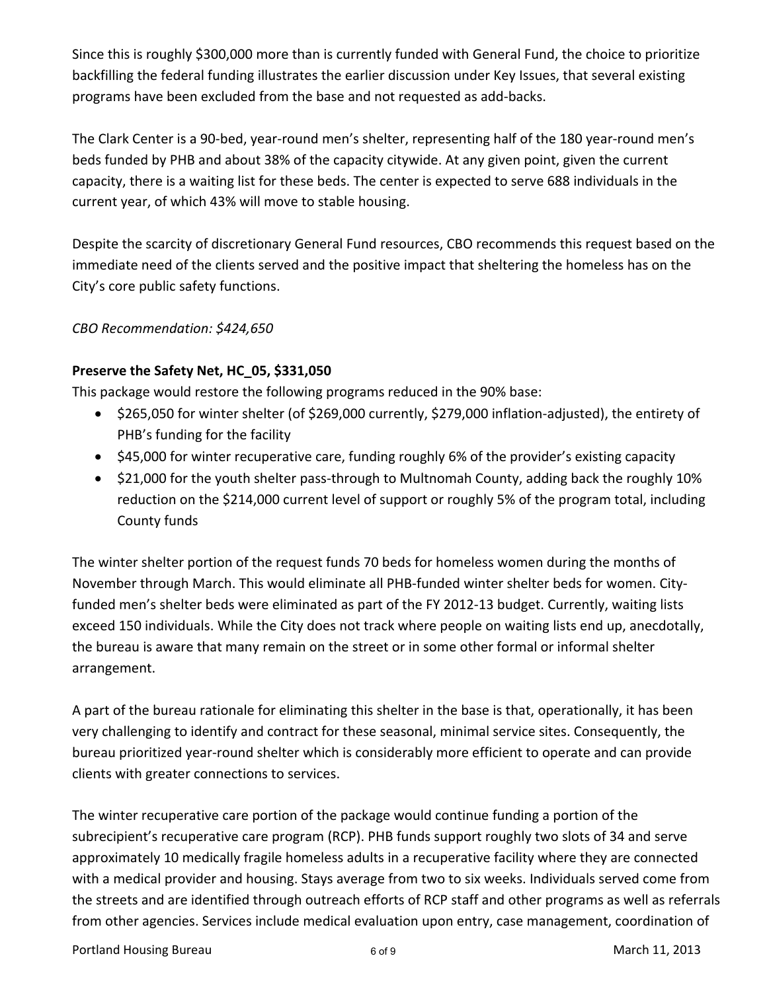Since this is roughly \$300,000 more than is currently funded with General Fund, the choice to prioritize backfilling the federal funding illustrates the earlier discussion under Key Issues, that several existing programs have been excluded from the base and not requested as add‐backs.

The Clark Center is a 90‐bed, year‐round men's shelter, representing half of the 180 year‐round men's beds funded by PHB and about 38% of the capacity citywide. At any given point, given the current capacity, there is a waiting list for these beds. The center is expected to serve 688 individuals in the current year, of which 43% will move to stable housing.

Despite the scarcity of discretionary General Fund resources, CBO recommends this request based on the immediate need of the clients served and the positive impact that sheltering the homeless has on the City's core public safety functions.

*CBO Recommendation: \$424,650*

## **Preserve the Safety Net, HC\_05, \$331,050**

This package would restore the following programs reduced in the 90% base:

- \$265,050 for winter shelter (of \$269,000 currently, \$279,000 inflation-adjusted), the entirety of PHB's funding for the facility
- \$45,000 for winter recuperative care, funding roughly 6% of the provider's existing capacity
- \$21,000 for the youth shelter pass-through to Multnomah County, adding back the roughly 10% reduction on the \$214,000 current level of support or roughly 5% of the program total, including County funds

The winter shelter portion of the request funds 70 beds for homeless women during the months of November through March. This would eliminate all PHB‐funded winter shelter beds for women. City‐ funded men's shelter beds were eliminated as part of the FY 2012‐13 budget. Currently, waiting lists exceed 150 individuals. While the City does not track where people on waiting lists end up, anecdotally, the bureau is aware that many remain on the street or in some other formal or informal shelter arrangement.

A part of the bureau rationale for eliminating this shelter in the base is that, operationally, it has been very challenging to identify and contract for these seasonal, minimal service sites. Consequently, the bureau prioritized year‐round shelter which is considerably more efficient to operate and can provide clients with greater connections to services.

The winter recuperative care portion of the package would continue funding a portion of the subrecipient's recuperative care program (RCP). PHB funds support roughly two slots of 34 and serve approximately 10 medically fragile homeless adults in a recuperative facility where they are connected with a medical provider and housing. Stays average from two to six weeks. Individuals served come from the streets and are identified through outreach efforts of RCP staff and other programs as well as referrals from other agencies. Services include medical evaluation upon entry, case management, coordination of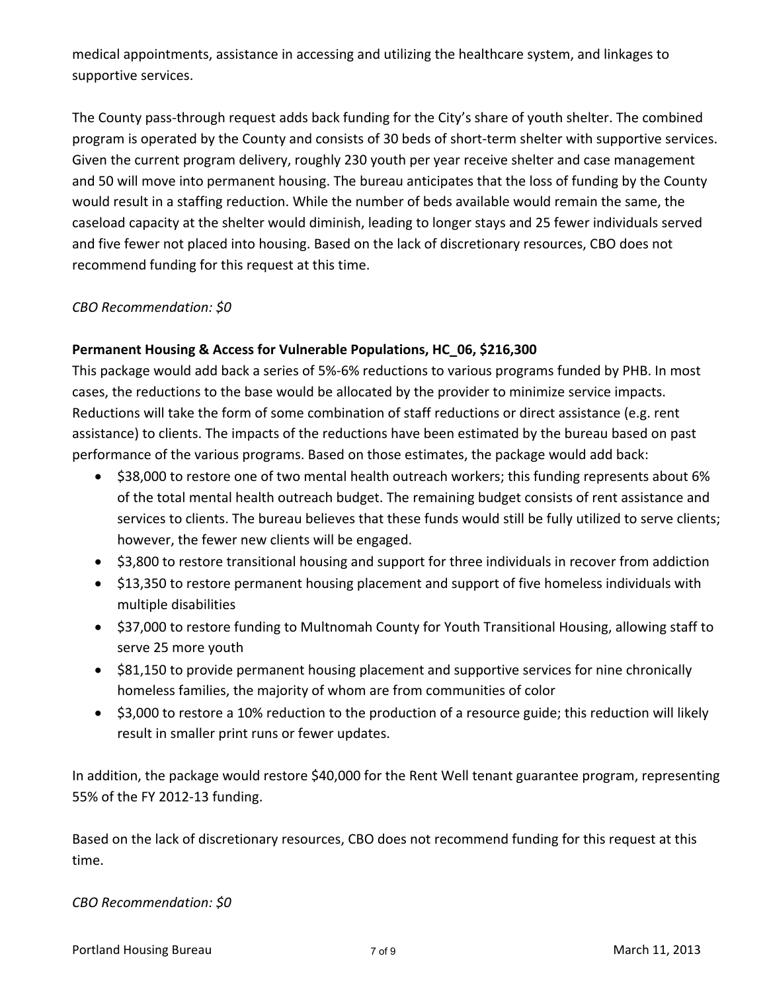medical appointments, assistance in accessing and utilizing the healthcare system, and linkages to supportive services.

The County pass-through request adds back funding for the City's share of youth shelter. The combined program is operated by the County and consists of 30 beds of short‐term shelter with supportive services. Given the current program delivery, roughly 230 youth per year receive shelter and case management and 50 will move into permanent housing. The bureau anticipates that the loss of funding by the County would result in a staffing reduction. While the number of beds available would remain the same, the caseload capacity at the shelter would diminish, leading to longer stays and 25 fewer individuals served and five fewer not placed into housing. Based on the lack of discretionary resources, CBO does not recommend funding for this request at this time.

### *CBO Recommendation: \$0*

#### **Permanent Housing & Access for Vulnerable Populations, HC\_06, \$216,300**

This package would add back a series of 5%‐6% reductions to various programs funded by PHB. In most cases, the reductions to the base would be allocated by the provider to minimize service impacts. Reductions will take the form of some combination of staff reductions or direct assistance (e.g. rent assistance) to clients. The impacts of the reductions have been estimated by the bureau based on past performance of the various programs. Based on those estimates, the package would add back:

- \$38,000 to restore one of two mental health outreach workers; this funding represents about 6% of the total mental health outreach budget. The remaining budget consists of rent assistance and services to clients. The bureau believes that these funds would still be fully utilized to serve clients; however, the fewer new clients will be engaged.
- \$3,800 to restore transitional housing and support for three individuals in recover from addiction
- \$13,350 to restore permanent housing placement and support of five homeless individuals with multiple disabilities
- \$37,000 to restore funding to Multnomah County for Youth Transitional Housing, allowing staff to serve 25 more youth
- \$81,150 to provide permanent housing placement and supportive services for nine chronically homeless families, the majority of whom are from communities of color
- \$3,000 to restore a 10% reduction to the production of a resource guide; this reduction will likely result in smaller print runs or fewer updates.

In addition, the package would restore \$40,000 for the Rent Well tenant guarantee program, representing 55% of the FY 2012‐13 funding.

Based on the lack of discretionary resources, CBO does not recommend funding for this request at this time.

*CBO Recommendation: \$0*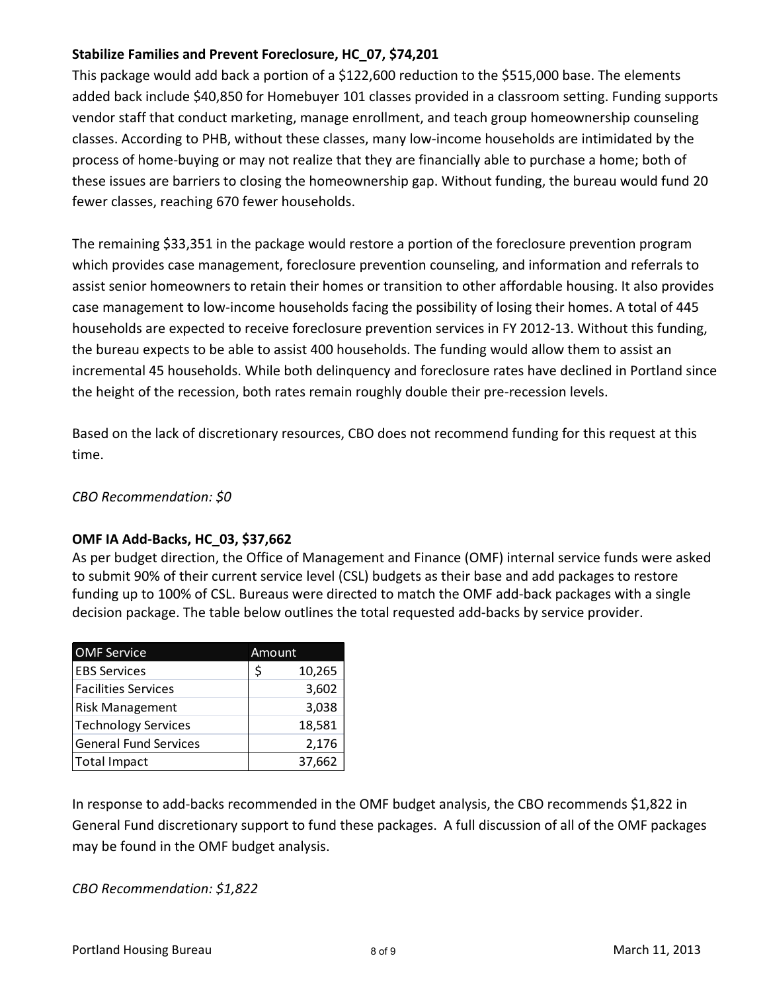### **Stabilize Families and Prevent Foreclosure, HC\_07, \$74,201**

This package would add back a portion of a \$122,600 reduction to the \$515,000 base. The elements added back include \$40,850 for Homebuyer 101 classes provided in a classroom setting. Funding supports vendor staff that conduct marketing, manage enrollment, and teach group homeownership counseling classes. According to PHB, without these classes, many low‐income households are intimidated by the process of home‐buying or may not realize that they are financially able to purchase a home; both of these issues are barriers to closing the homeownership gap. Without funding, the bureau would fund 20 fewer classes, reaching 670 fewer households.

The remaining \$33,351 in the package would restore a portion of the foreclosure prevention program which provides case management, foreclosure prevention counseling, and information and referrals to assist senior homeowners to retain their homes or transition to other affordable housing. It also provides case management to low‐income households facing the possibility of losing their homes. A total of 445 households are expected to receive foreclosure prevention services in FY 2012‐13. Without this funding, the bureau expects to be able to assist 400 households. The funding would allow them to assist an incremental 45 households. While both delinquency and foreclosure rates have declined in Portland since the height of the recession, both rates remain roughly double their pre‐recession levels.

Based on the lack of discretionary resources, CBO does not recommend funding for this request at this time.

#### *CBO Recommendation: \$0*

#### **OMF IA Add‐Backs, HC\_03, \$37,662**

As per budget direction, the Office of Management and Finance (OMF) internal service funds were asked to submit 90% of their current service level (CSL) budgets as their base and add packages to restore funding up to 100% of CSL. Bureaus were directed to match the OMF add‐back packages with a single decision package. The table below outlines the total requested add‐backs by service provider.

| <b>OMF Service</b>           | Amount |        |
|------------------------------|--------|--------|
| <b>EBS Services</b>          | \$     | 10,265 |
| <b>Facilities Services</b>   |        | 3,602  |
| Risk Management              |        | 3,038  |
| <b>Technology Services</b>   |        | 18,581 |
| <b>General Fund Services</b> |        | 2,176  |
| <b>Total Impact</b>          |        | 37,662 |

In response to add‐backs recommended in the OMF budget analysis, the CBO recommends \$1,822 in General Fund discretionary support to fund these packages. A full discussion of all of the OMF packages may be found in the OMF budget analysis.

*CBO Recommendation: \$1,822*